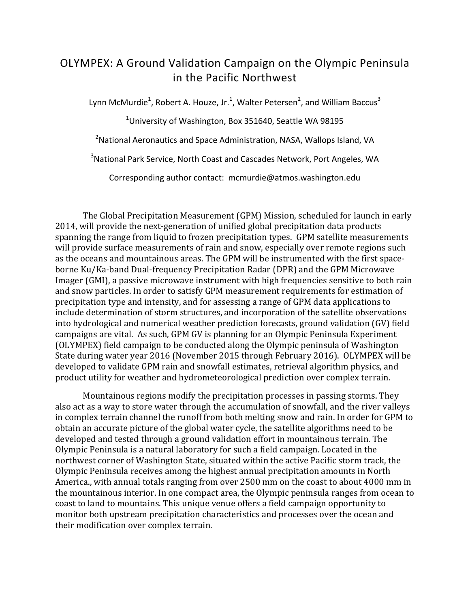## OLYMPEX: A Ground Validation Campaign on the Olympic Peninsula in the Pacific Northwest

Lynn McMurdie<sup>1</sup>, Robert A. Houze, Jr.<sup>1</sup>, Walter Petersen<sup>2</sup>, and William Baccus<sup>3</sup>

<sup>1</sup>University of Washington, Box 351640, Seattle WA 98195

 $^{2}$ National Aeronautics and Space Administration, NASA, Wallops Island, VA

 $3$ National Park Service, North Coast and Cascades Network, Port Angeles, WA

Corresponding author contact: mcmurdie@atmos.washington.edu

The Global Precipitation Measurement (GPM) Mission, scheduled for launch in early 2014, will provide the next-generation of unified global precipitation data products spanning the range from liquid to frozen precipitation types. GPM satellite measurements will provide surface measurements of rain and snow, especially over remote regions such as the oceans and mountainous areas. The GPM will be instrumented with the first spaceborne Ku/Ka-band Dual-frequency Precipitation Radar (DPR) and the GPM Microwave Imager (GMI), a passive microwave instrument with high frequencies sensitive to both rain and snow particles. In order to satisfy GPM measurement requirements for estimation of precipitation type and intensity, and for assessing a range of GPM data applications to include determination of storm structures, and incorporation of the satellite observations into hydrological and numerical weather prediction forecasts, ground validation (GV) field campaigns are vital. As such, GPM GV is planning for an Olympic Peninsula Experiment (OLYMPEX) field campaign to be conducted along the Olympic peninsula of Washington State during water year 2016 (November 2015 through February 2016). OLYMPEX will be developed to validate GPM rain and snowfall estimates, retrieval algorithm physics, and product utility for weather and hydrometeorological prediction over complex terrain.

Mountainous regions modify the precipitation processes in passing storms. They also act as a way to store water through the accumulation of snowfall, and the river valleys in complex terrain channel the runoff from both melting snow and rain. In order for GPM to obtain an accurate picture of the global water cycle, the satellite algorithms need to be developed and tested through a ground validation effort in mountainous terrain. The Olympic Peninsula is a natural laboratory for such a field campaign. Located in the northwest corner of Washington State, situated within the active Pacific storm track, the Olympic Peninsula receives among the highest annual precipitation amounts in North America., with annual totals ranging from over 2500 mm on the coast to about 4000 mm in the mountainous interior. In one compact area, the Olympic peninsula ranges from ocean to coast to land to mountains. This unique venue offers a field campaign opportunity to monitor both upstream precipitation characteristics and processes over the ocean and their modification over complex terrain.